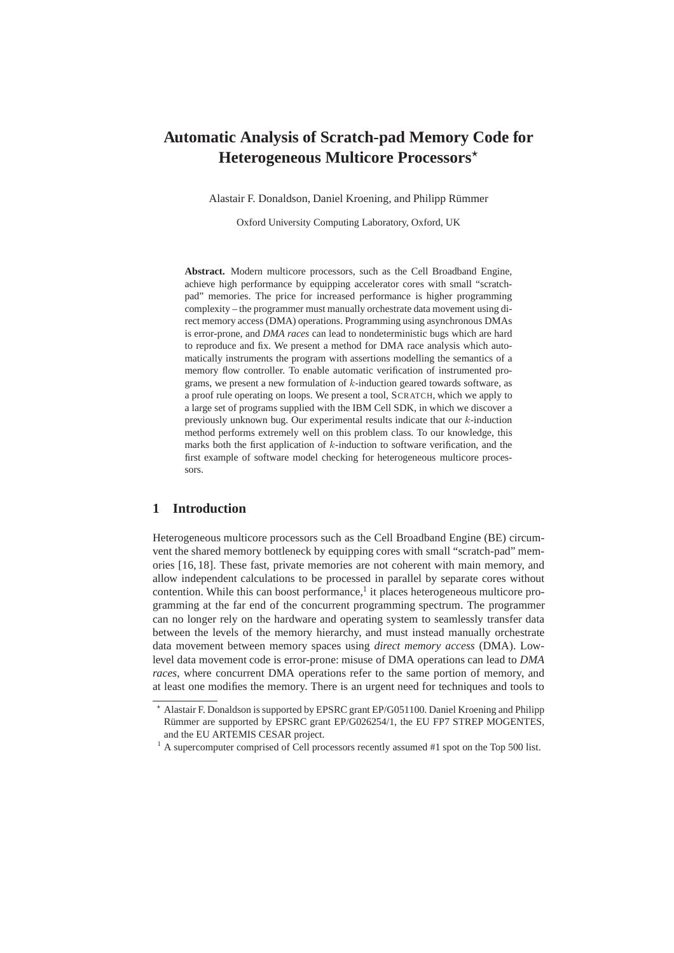# **Automatic Analysis of Scratch-pad Memory Code for Heterogeneous Multicore Processors**<sup>\*</sup>

Alastair F. Donaldson, Daniel Kroening, and Philipp Rümmer

Oxford University Computing Laboratory, Oxford, UK

**Abstract.** Modern multicore processors, such as the Cell Broadband Engine, achieve high performance by equipping accelerator cores with small "scratchpad" memories. The price for increased performance is higher programming complexity – the programmer must manually orchestrate data movement using direct memory access (DMA) operations. Programming using asynchronous DMAs is error-prone, and *DMA races* can lead to nondeterministic bugs which are hard to reproduce and fix. We present a method for DMA race analysis which automatically instruments the program with assertions modelling the semantics of a memory flow controller. To enable automatic verification of instrumented programs, we present a new formulation of  $k$ -induction geared towards software, as a proof rule operating on loops. We present a tool, SCRATCH, which we apply to a large set of programs supplied with the IBM Cell SDK, in which we discover a previously unknown bug. Our experimental results indicate that our k-induction method performs extremely well on this problem class. To our knowledge, this marks both the first application of  $k$ -induction to software verification, and the first example of software model checking for heterogeneous multicore processors.

# **1 Introduction**

Heterogeneous multicore processors such as the Cell Broadband Engine (BE) circumvent the shared memory bottleneck by equipping cores with small "scratch-pad" memories [16, 18]. These fast, private memories are not coherent with main memory, and allow independent calculations to be processed in parallel by separate cores without contention. While this can boost performance, $<sup>1</sup>$  it places heterogeneous multicore pro-</sup> gramming at the far end of the concurrent programming spectrum. The programmer can no longer rely on the hardware and operating system to seamlessly transfer data between the levels of the memory hierarchy, and must instead manually orchestrate data movement between memory spaces using *direct memory access* (DMA). Lowlevel data movement code is error-prone: misuse of DMA operations can lead to *DMA races*, where concurrent DMA operations refer to the same portion of memory, and at least one modifies the memory. There is an urgent need for techniques and tools to

<sup>⋆</sup> Alastair F. Donaldson is supported by EPSRC grant EP/G051100. Daniel Kroening and Philipp Rümmer are supported by EPSRC grant EP/G026254/1, the EU FP7 STREP MOGENTES, and the EU ARTEMIS CESAR project.

<sup>&</sup>lt;sup>1</sup> A supercomputer comprised of Cell processors recently assumed #1 spot on the Top 500 list.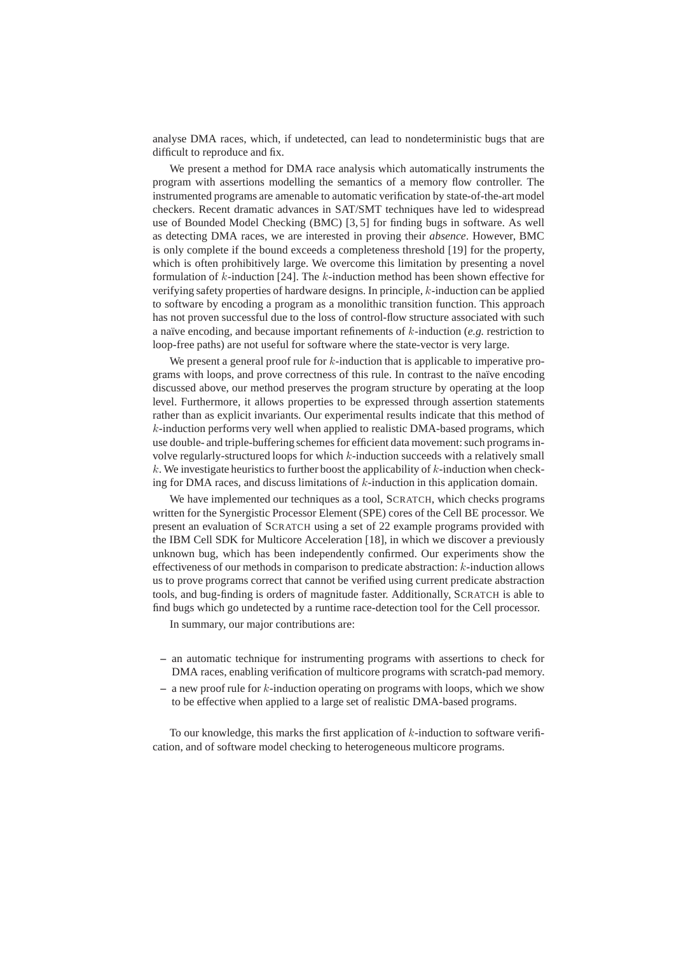analyse DMA races, which, if undetected, can lead to nondeterministic bugs that are difficult to reproduce and fix.

We present a method for DMA race analysis which automatically instruments the program with assertions modelling the semantics of a memory flow controller. The instrumented programs are amenable to automatic verification by state-of-the-art model checkers. Recent dramatic advances in SAT/SMT techniques have led to widespread use of Bounded Model Checking (BMC) [3, 5] for finding bugs in software. As well as detecting DMA races, we are interested in proving their *absence*. However, BMC is only complete if the bound exceeds a completeness threshold [19] for the property, which is often prohibitively large. We overcome this limitation by presenting a novel formulation of  $k$ -induction [24]. The  $k$ -induction method has been shown effective for verifying safety properties of hardware designs. In principle, k-induction can be applied to software by encoding a program as a monolithic transition function. This approach has not proven successful due to the loss of control-flow structure associated with such a naïve encoding, and because important refinements of  $k$ -induction ( $e.g.$  restriction to loop-free paths) are not useful for software where the state-vector is very large.

We present a general proof rule for  $k$ -induction that is applicable to imperative programs with loops, and prove correctness of this rule. In contrast to the naïve encoding discussed above, our method preserves the program structure by operating at the loop level. Furthermore, it allows properties to be expressed through assertion statements rather than as explicit invariants. Our experimental results indicate that this method of  $k$ -induction performs very well when applied to realistic DMA-based programs, which use double- and triple-buffering schemes for efficient data movement: such programs involve regularly-structured loops for which  $k$ -induction succeeds with a relatively small k. We investigate heuristics to further boost the applicability of  $k$ -induction when checking for DMA races, and discuss limitations of k-induction in this application domain.

We have implemented our techniques as a tool, SCRATCH, which checks programs written for the Synergistic Processor Element (SPE) cores of the Cell BE processor. We present an evaluation of SCRATCH using a set of 22 example programs provided with the IBM Cell SDK for Multicore Acceleration [18], in which we discover a previously unknown bug, which has been independently confirmed. Our experiments show the effectiveness of our methods in comparison to predicate abstraction:  $k$ -induction allows us to prove programs correct that cannot be verified using current predicate abstraction tools, and bug-finding is orders of magnitude faster. Additionally, SCRATCH is able to find bugs which go undetected by a runtime race-detection tool for the Cell processor.

In summary, our major contributions are:

- **–** an automatic technique for instrumenting programs with assertions to check for DMA races, enabling verification of multicore programs with scratch-pad memory.
- **–** a new proof rule for k-induction operating on programs with loops, which we show to be effective when applied to a large set of realistic DMA-based programs.

To our knowledge, this marks the first application of  $k$ -induction to software verification, and of software model checking to heterogeneous multicore programs.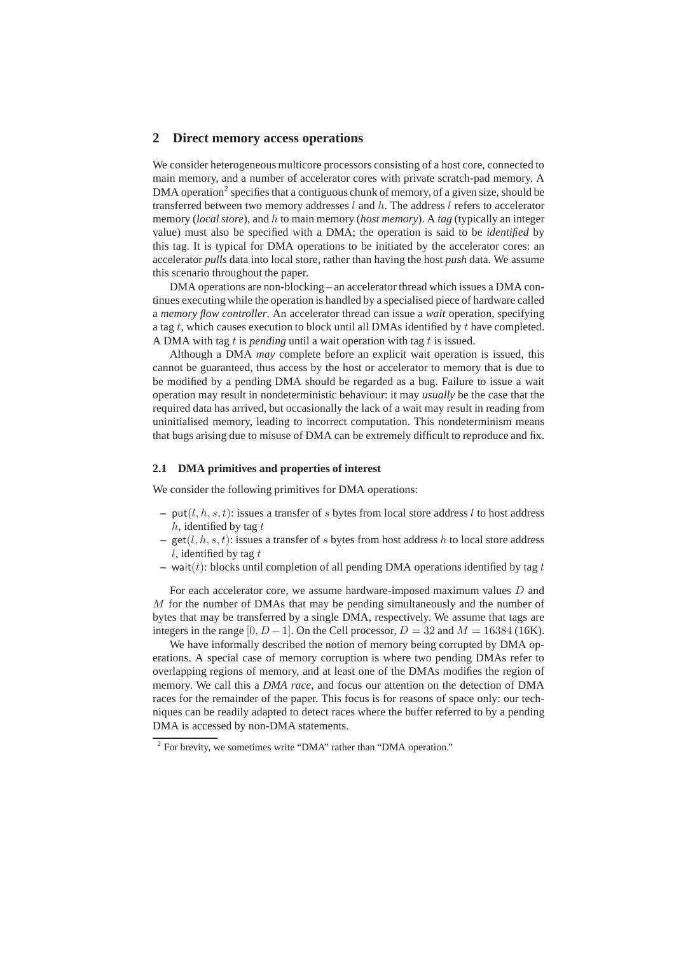## **2 Direct memory access operations**

We consider heterogeneous multicore processors consisting of a host core, connected to main memory, and a number of accelerator cores with private scratch-pad memory. A DMA operation<sup>2</sup> specifies that a contiguous chunk of memory, of a given size, should be transferred between two memory addresses  $l$  and  $h$ . The address  $l$  refers to accelerator memory (*local store*), and h to main memory (*host memory*). A *tag* (typically an integer value) must also be specified with a DMA; the operation is said to be *identified* by this tag. It is typical for DMA operations to be initiated by the accelerator cores: an accelerator *pulls* data into local store, rather than having the host *push* data. We assume this scenario throughout the paper.

DMA operations are non-blocking – an accelerator thread which issues a DMA continues executing while the operation is handled by a specialised piece of hardware called a *memory flow controller*. An accelerator thread can issue a *wait* operation, specifying a tag  $t$ , which causes execution to block until all DMAs identified by  $t$  have completed. A DMA with tag t is *pending* until a wait operation with tag t is issued.

Although a DMA *may* complete before an explicit wait operation is issued, this cannot be guaranteed, thus access by the host or accelerator to memory that is due to be modified by a pending DMA should be regarded as a bug. Failure to issue a wait operation may result in nondeterministic behaviour: it may *usually* be the case that the required data has arrived, but occasionally the lack of a wait may result in reading from uninitialised memory, leading to incorrect computation. This nondeterminism means that bugs arising due to misuse of DMA can be extremely difficult to reproduce and fix.

#### **2.1 DMA primitives and properties of interest**

We consider the following primitives for DMA operations:

- $–$  put( $l, h, s, t$ ): issues a transfer of s bytes from local store address l to host address  $h$ , identified by tag  $t$
- $\mathcal{L}$  get(l, h, s, t): issues a transfer of s bytes from host address h to local store address  $l$ , identified by tag  $t$
- $-$  wait(t): blocks until completion of all pending DMA operations identified by tag t

For each accelerator core, we assume hardware-imposed maximum values D and M for the number of DMAs that may be pending simultaneously and the number of bytes that may be transferred by a single DMA, respectively. We assume that tags are integers in the range  $[0, D-1]$ . On the Cell processor,  $D = 32$  and  $M = 16384$  (16K).

We have informally described the notion of memory being corrupted by DMA operations. A special case of memory corruption is where two pending DMAs refer to overlapping regions of memory, and at least one of the DMAs modifies the region of memory. We call this a *DMA race*, and focus our attention on the detection of DMA races for the remainder of the paper. This focus is for reasons of space only: our techniques can be readily adapted to detect races where the buffer referred to by a pending DMA is accessed by non-DMA statements.

<sup>&</sup>lt;sup>2</sup> For brevity, we sometimes write "DMA" rather than "DMA operation."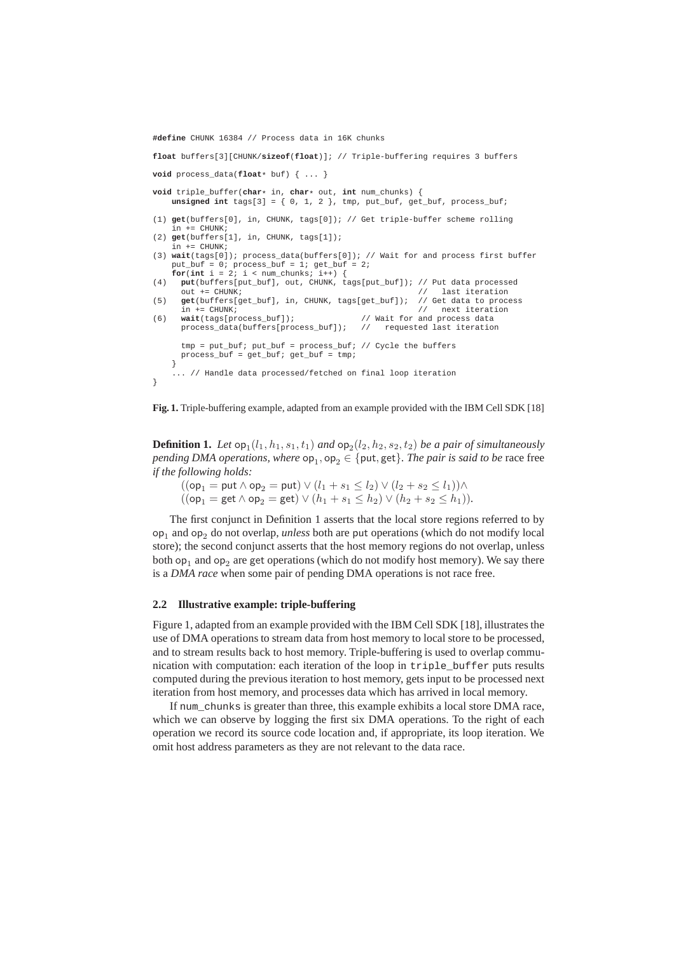```
#define CHUNK 16384 // Process data in 16K chunks
float buffers[3][CHUNK/sizeof(float)]; // Triple-buffering requires 3 buffers
void process_data(float* buf) { ... }
void triple_buffer(char* in, char* out, int num_chunks) {
    unsigned int tags[3] = { 0, 1, 2 }, tmp, put_buf, get_buf, process_buf;
(1) get(buffers[0], in, CHUNK, tags[0]); // Get triple-buffer scheme rolling
     in += CHUNK;
(2) get(buffers[1], in, CHUNK, tags[1]);
    in += CHUNK;
(3) wait(tags[0]); process_data(buffers[0]); // Wait for and process first buffer
    put_buf = 0; process_buf = 1; get_buf = 2;
    for(int i = 2i i < num chunks; i++) {
(4) put(buffers[put_buf], out, CHUNK, tags[put_buf]); // Put data processed
out += CHUNK; // last iteration
(5) get(buffers[get_buf], in, CHUNK, tags[get_buf]); // Get data to process
in += CHUNK; // next iteration
(6) wait(tags[process_buf]); // Wait for and process data
      process_data(buffers[process_buf]); // requested last iteration
      tmp = put_buf; put_buf = process_buf; // Cycle the buffersprocess\_buf = get\_buf; get\_buf = tmp;}
     ... // Handle data processed/fetched on final loop iteration
}
```


**Definition 1.** Let  $\mathsf{op}_1(l_1, h_1, s_1, t_1)$  and  $\mathsf{op}_2(l_2, h_2, s_2, t_2)$  be a pair of simultaneously  $p$ ending DMA operations, where  $\mathsf{op}_1,\mathsf{op}_2\in\{\mathsf{put},\mathsf{get}\}.$  The pair is said to be race free *if the following holds:*

 $((\mathsf{op}_1 = \mathsf{put} \wedge \mathsf{op}_2 = \mathsf{put}) \vee (l_1 + s_1 \leq l_2) \vee (l_2 + s_2 \leq l_1)) \wedge$  $((\mathsf{op}_1 = \mathsf{get} \land \mathsf{op}_2 = \mathsf{get}) \lor (h_1 + s_1 \leq h_2) \lor (h_2 + s_2 \leq h_1)).$ 

The first conjunct in Definition 1 asserts that the local store regions referred to by op<sub>1</sub> and op<sub>2</sub> do not overlap, *unless* both are put operations (which do not modify local store); the second conjunct asserts that the host memory regions do not overlap, unless both  $\mathsf{op}_1$  and  $\mathsf{op}_2$  are get operations (which do not modify host memory). We say there is a *DMA race* when some pair of pending DMA operations is not race free.

#### **2.2 Illustrative example: triple-buffering**

Figure 1, adapted from an example provided with the IBM Cell SDK [18], illustrates the use of DMA operations to stream data from host memory to local store to be processed, and to stream results back to host memory. Triple-buffering is used to overlap communication with computation: each iteration of the loop in triple\_buffer puts results computed during the previous iteration to host memory, gets input to be processed next iteration from host memory, and processes data which has arrived in local memory.

If num\_chunks is greater than three, this example exhibits a local store DMA race, which we can observe by logging the first six DMA operations. To the right of each operation we record its source code location and, if appropriate, its loop iteration. We omit host address parameters as they are not relevant to the data race.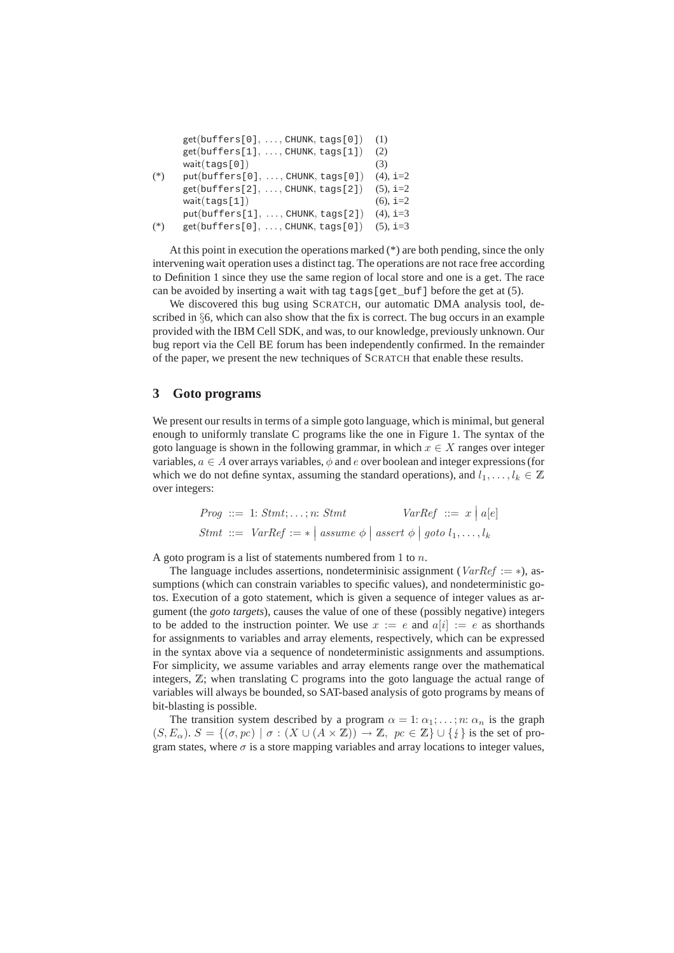|       | get(buffers[0], , CHUNK, tags[0]) | (1)         |
|-------|-----------------------------------|-------------|
|       | get(buffers[1], , CHUNK, tags[1]) | (2)         |
|       | wait(tags[0])                     | (3)         |
| $(*)$ | put(buffers[0], , CHUNK, tags[0]) | $(4), i=2$  |
|       | get(buffers[2], , CHUNK, tags[2]) | $(5), i=2$  |
|       | wait(tags[1])                     | $(6), i=2$  |
|       | put(buffers[1], , CHUNK, tags[2]) | $(4), i=3$  |
| $(*)$ | get(buffers[0], , CHUNK, tags[0]) | $(5)$ , i=3 |

At this point in execution the operations marked (\*) are both pending, since the only intervening wait operation uses a distinct tag. The operations are not race free according to Definition 1 since they use the same region of local store and one is a get. The race can be avoided by inserting a wait with tag tags [get\_buf] before the get at  $(5)$ .

We discovered this bug using SCRATCH, our automatic DMA analysis tool, described in  $\S6$ , which can also show that the fix is correct. The bug occurs in an example provided with the IBM Cell SDK, and was, to our knowledge, previously unknown. Our bug report via the Cell BE forum has been independently confirmed. In the remainder of the paper, we present the new techniques of SCRATCH that enable these results.

# **3 Goto programs**

We present our results in terms of a simple goto language, which is minimal, but general enough to uniformly translate C programs like the one in Figure 1. The syntax of the goto language is shown in the following grammar, in which  $x \in X$  ranges over integer variables,  $a \in A$  over arrays variables,  $\phi$  and  $e$  over boolean and integer expressions (for which we do not define syntax, assuming the standard operations), and  $l_1, \ldots, l_k \in \mathbb{Z}$ over integers:

*Prog* ::= 1: *Stmt*; ...; *n*: *Stmt VarRef* ::= 
$$
x | a[e]
$$
  
\n*Stmt* ::= *VarRef* :=  $*$  | *assume*  $\phi$  | *assert*  $\phi$  | *goto*  $l_1, ..., l_k$ 

A goto program is a list of statements numbered from  $1$  to  $n$ .

The language includes assertions, nondeterminisic assignment ( $VarRef := *$ ), assumptions (which can constrain variables to specific values), and nondeterministic gotos. Execution of a goto statement, which is given a sequence of integer values as argument (the *goto targets*), causes the value of one of these (possibly negative) integers to be added to the instruction pointer. We use  $x := e$  and  $a[i] := e$  as shorthands for assignments to variables and array elements, respectively, which can be expressed in the syntax above via a sequence of nondeterministic assignments and assumptions. For simplicity, we assume variables and array elements range over the mathematical integers, Z; when translating C programs into the goto language the actual range of variables will always be bounded, so SAT-based analysis of goto programs by means of bit-blasting is possible.

The transition system described by a program  $\alpha = 1$ :  $\alpha_1$ ; ...;  $n$ :  $\alpha_n$  is the graph  $(S, E_{\alpha})$ .  $S = \{(\sigma, pc) \mid \sigma : (X \cup (A \times \mathbb{Z})) \rightarrow \mathbb{Z}, \, pc \in \mathbb{Z}\} \cup \{\frac{1}{2}\}\$ is the set of program states, where  $\sigma$  is a store mapping variables and array locations to integer values,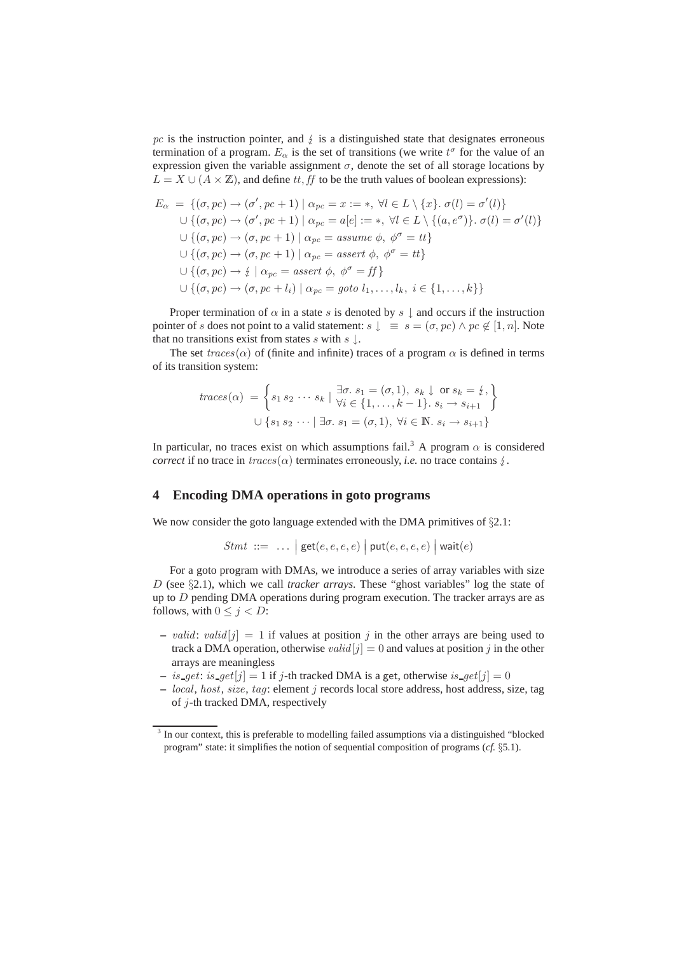pc is the instruction pointer, and  $\zeta$  is a distinguished state that designates erroneous termination of a program.  $E_{\alpha}$  is the set of transitions (we write  $t^{\sigma}$  for the value of an expression given the variable assignment  $\sigma$ , denote the set of all storage locations by  $L = X \cup (A \times \mathbb{Z})$ , and define  $tt, ff$  to be the truth values of boolean expressions):

$$
E_{\alpha} = \{(\sigma, pc) \to (\sigma', pc + 1) \mid \alpha_{pc} = x := *, \forall l \in L \setminus \{x\}. \sigma(l) = \sigma'(l)\}
$$
  

$$
\cup \{(\sigma, pc) \to (\sigma', pc + 1) \mid \alpha_{pc} = a[e] := *, \forall l \in L \setminus \{(a, e^{\sigma})\}. \sigma(l) = \sigma'(l)\}
$$
  

$$
\cup \{(\sigma, pc) \to (\sigma, pc + 1) \mid \alpha_{pc} = assume \phi, \phi^{\sigma} = tt\}
$$
  

$$
\cup \{(\sigma, pc) \to (\sigma, pc + 1) \mid \alpha_{pc} = assert \phi, \phi^{\sigma} = tt\}
$$
  

$$
\cup \{(\sigma, pc) \to \{ \mid \alpha_{pc} = assert \phi, \phi^{\sigma} = ff\}
$$
  

$$
\cup \{(\sigma, pc) \to (\sigma, pc + l_i) \mid \alpha_{pc} = goto l_1, ..., l_k, i \in \{1, ..., k\}\}
$$

Proper termination of  $\alpha$  in a state s is denoted by s  $\downarrow$  and occurs if the instruction pointer of s does not point to a valid statement:  $s \downarrow \equiv s = (\sigma, pc) \land pc \notin [1, n]$ . Note that no transitions exist from states s with  $s \downarrow$ .

The set  $traces(\alpha)$  of (finite and infinite) traces of a program  $\alpha$  is defined in terms of its transition system:

$$
traces(\alpha) = \begin{cases} s_1 s_2 \cdots s_k \mid \exists \sigma. s_1 = (\sigma, 1), s_k \downarrow \text{ or } s_k = \emptyset, \\ \forall i \in \{1, \ldots, k-1\}. s_i \rightarrow s_{i+1} \\ \cup \{s_1 s_2 \cdots \mid \exists \sigma. s_1 = (\sigma, 1), \forall i \in \mathbb{N}. s_i \rightarrow s_{i+1} \} \end{cases}
$$

In particular, no traces exist on which assumptions fail.<sup>3</sup> A program  $\alpha$  is considered *correct* if no trace in  $traces(\alpha)$  terminates erroneously, *i.e.* no trace contains  $\frac{1}{\alpha}$ .

# **4 Encoding DMA operations in goto programs**

We now consider the goto language extended with the DMA primitives of §2.1:

$$
\mathit{Stmt}\ ::=\ \ldots\ \Big|\ \mathsf{get}(e,e,e,e)\ \Big|\ \mathsf{put}(e,e,e,e)\ \Big|\ \mathsf{wait}(e)
$$

For a goto program with DMAs, we introduce a series of array variables with size D (see §2.1), which we call *tracker arrays*. These "ghost variables" log the state of up to  $D$  pending DMA operations during program execution. The tracker arrays are as follows, with  $0 \leq j < D$ :

- valid: valid[j] = 1 if values at position j in the other arrays are being used to track a DMA operation, otherwise  $valid[j] = 0$  and values at position j in the other arrays are meaningless
- $-$  is get: is get[j] = 1 if j-th tracked DMA is a get, otherwise is get[j] = 0
- **–** local, host, size, tag: element j records local store address, host address, size, tag of j-th tracked DMA, respectively

<sup>&</sup>lt;sup>3</sup> In our context, this is preferable to modelling failed assumptions via a distinguished "blocked program" state: it simplifies the notion of sequential composition of programs (*cf.* §5.1).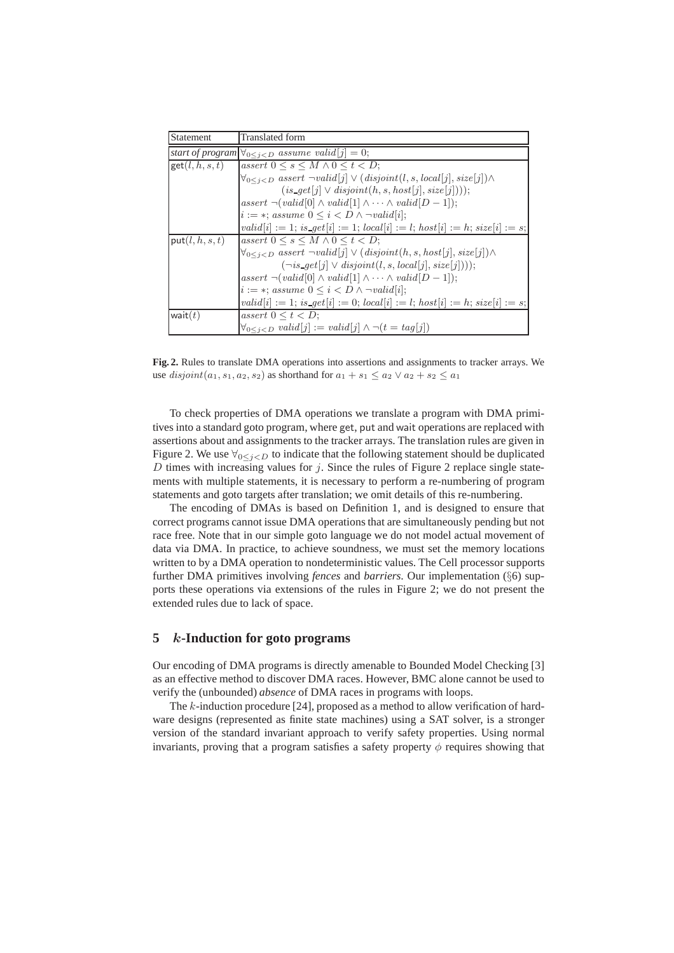| Statement       | <b>Translated form</b>                                                                                                           |  |  |  |  |  |  |
|-----------------|----------------------------------------------------------------------------------------------------------------------------------|--|--|--|--|--|--|
|                 | start of program $\forall_{0 \leq j \leq D}$ assume valid $ j  = 0$ ;                                                            |  |  |  |  |  |  |
| get(l, h, s, t) | assert $0 \leq s \leq M \wedge 0 \leq t < D$ ;                                                                                   |  |  |  |  |  |  |
|                 | $\forall_{0 \leq i \leq D}$ assert $\neg valid[j] \vee (disjoint(l, s, local[j], size[j])) \wedge$                               |  |  |  |  |  |  |
|                 | $(is_qet[j] \vee disjoint(h, s, host[j], size[j])));$                                                                            |  |  |  |  |  |  |
|                 | assert $\neg (valid[0] \wedge valid[1] \wedge \cdots \wedge valid[D-1]);$                                                        |  |  |  |  |  |  |
|                 | $i := *; assume \ 0 \leq i < D \land \neg valid[i];$                                                                             |  |  |  |  |  |  |
|                 | <i>valid</i> $[i] := 1$ ; <i>is get</i> $[i] := 1$ ; <i>local</i> $[i] := i$ ; <i>host</i> $[i] := h$ ; <i>size</i> $[i] := s$ ; |  |  |  |  |  |  |
| put(l, h, s, t) | $\vert$ assert $0 \leq s \leq M \wedge 0 \leq t \leq D$ ;                                                                        |  |  |  |  |  |  |
|                 | $\forall_{0 \leq i \leq D}$ assert $\neg valid[j] \vee (disjoint(h, s, host[j], size[j]) \wedge$                                 |  |  |  |  |  |  |
|                 | $(\neg is\_get[j] \vee disjoint(l, s, local[j], size[j]))$ ;                                                                     |  |  |  |  |  |  |
|                 | assert $\neg (valid[0] \wedge valid[1] \wedge \cdots \wedge valid[D-1]);$                                                        |  |  |  |  |  |  |
|                 | $i := *; assume \ 0 \leq i < D \land \neg valid[i];$                                                                             |  |  |  |  |  |  |
|                 | <i>valid</i> $[i] := 1$ ; is get $[i] := 0$ ; local $[i] := i$ ; host $[i] := h$ ; size $[i] := s$ ;                             |  |  |  |  |  |  |
| wait $(t)$      | assert $0 \leq t \leq D$ ;                                                                                                       |  |  |  |  |  |  |
|                 | $\forall_{0 \leq i \leq D} \ valid[j] := valid[j] \wedge \neg(t = taq[j])$                                                       |  |  |  |  |  |  |

**Fig. 2.** Rules to translate DMA operations into assertions and assignments to tracker arrays. We use  $disjoint(a_1, s_1, a_2, s_2)$  as shorthand for  $a_1 + s_1 \le a_2 \vee a_2 + s_2 \le a_1$ 

To check properties of DMA operations we translate a program with DMA primitives into a standard goto program, where get, put and wait operations are replaced with assertions about and assignments to the tracker arrays. The translation rules are given in Figure 2. We use  $\forall_{0 \leq j \leq D}$  to indicate that the following statement should be duplicated  $D$  times with increasing values for  $j$ . Since the rules of Figure 2 replace single statements with multiple statements, it is necessary to perform a re-numbering of program statements and goto targets after translation; we omit details of this re-numbering.

The encoding of DMAs is based on Definition 1, and is designed to ensure that correct programs cannot issue DMA operations that are simultaneously pending but not race free. Note that in our simple goto language we do not model actual movement of data via DMA. In practice, to achieve soundness, we must set the memory locations written to by a DMA operation to nondeterministic values. The Cell processor supports further DMA primitives involving *fences* and *barriers*. Our implementation (§6) supports these operations via extensions of the rules in Figure 2; we do not present the extended rules due to lack of space.

# **5** k**-Induction for goto programs**

Our encoding of DMA programs is directly amenable to Bounded Model Checking [3] as an effective method to discover DMA races. However, BMC alone cannot be used to verify the (unbounded) *absence* of DMA races in programs with loops.

The k-induction procedure [24], proposed as a method to allow verification of hardware designs (represented as finite state machines) using a SAT solver, is a stronger version of the standard invariant approach to verify safety properties. Using normal invariants, proving that a program satisfies a safety property  $\phi$  requires showing that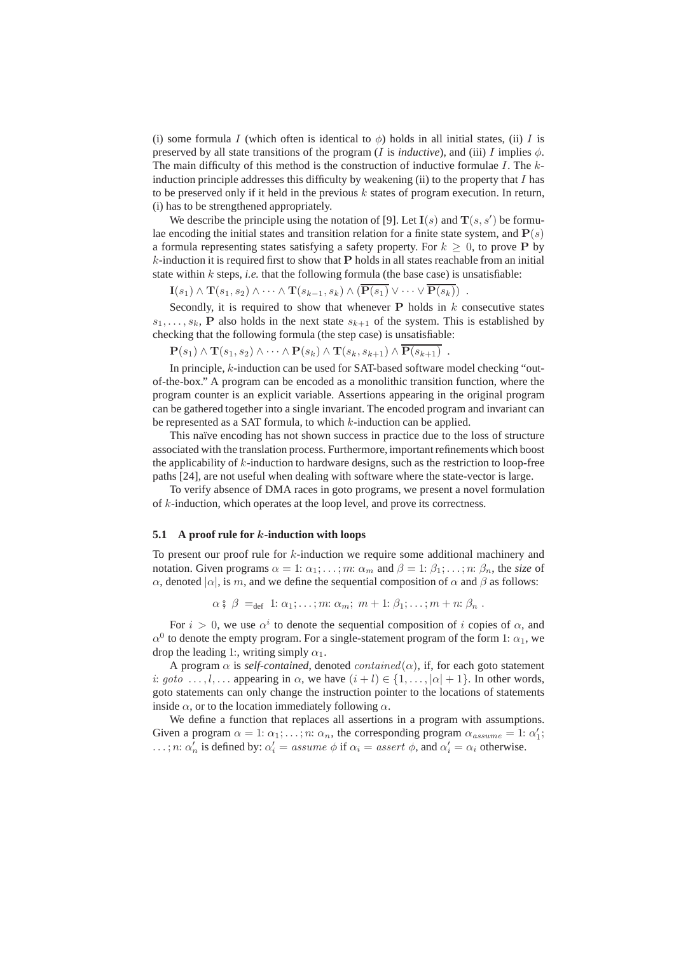(i) some formula I (which often is identical to  $\phi$ ) holds in all initial states, (ii) I is preserved by all state transitions of the program (I is *inductive*), and (iii) I implies  $\phi$ . The main difficulty of this method is the construction of inductive formulae  $I$ . The  $k$ induction principle addresses this difficulty by weakening  $(ii)$  to the property that  $I$  has to be preserved only if it held in the previous  $k$  states of program execution. In return, (i) has to be strengthened appropriately.

We describe the principle using the notation of [9]. Let  $I(s)$  and  $T(s, s')$  be formulae encoding the initial states and transition relation for a finite state system, and  $P(s)$ a formula representing states satisfying a safety property. For  $k \geq 0$ , to prove P by  $k$ -induction it is required first to show that P holds in all states reachable from an initial state within  $k$  steps, *i.e.* that the following formula (the base case) is unsatisfiable:

 $\mathbf{I}(s_1) \wedge \mathbf{T}(s_1, s_2) \wedge \cdots \wedge \mathbf{T}(s_{k-1}, s_k) \wedge (\overline{\mathbf{P}(s_1)} \vee \cdots \vee \overline{\mathbf{P}(s_k)})$ .

Secondly, it is required to show that whenever  $P$  holds in  $k$  consecutive states  $s_1, \ldots, s_k$ , P also holds in the next state  $s_{k+1}$  of the system. This is established by checking that the following formula (the step case) is unsatisfiable:

 $\mathbf{P}(s_1) \wedge \mathbf{T}(s_1, s_2) \wedge \cdots \wedge \mathbf{P}(s_k) \wedge \mathbf{T}(s_k, s_{k+1}) \wedge \overline{\mathbf{P}(s_{k+1})}$ .

In principle, k-induction can be used for SAT-based software model checking "outof-the-box." A program can be encoded as a monolithic transition function, where the program counter is an explicit variable. Assertions appearing in the original program can be gathered together into a single invariant. The encoded program and invariant can be represented as a SAT formula, to which  $k$ -induction can be applied.

This naïve encoding has not shown success in practice due to the loss of structure associated with the translation process. Furthermore, important refinements which boost the applicability of  $k$ -induction to hardware designs, such as the restriction to loop-free paths [24], are not useful when dealing with software where the state-vector is large.

To verify absence of DMA races in goto programs, we present a novel formulation of k-induction, which operates at the loop level, and prove its correctness.

#### **5.1 A proof rule for** k**-induction with loops**

To present our proof rule for  $k$ -induction we require some additional machinery and notation. Given programs  $\alpha = 1: \alpha_1; \ldots; m: \alpha_m$  and  $\beta = 1: \beta_1; \ldots; n: \beta_n$ , the *size* of  $\alpha$ , denoted  $|\alpha|$ , is m, and we define the sequential composition of  $\alpha$  and  $\beta$  as follows:

 $\alpha$  ;  $\beta =_{\text{def}} 1: \alpha_1; \ldots; m: \alpha_m; m+1: \beta_1; \ldots; m+n: \beta_n$ .

For  $i > 0$ , we use  $\alpha^i$  to denote the sequential composition of i copies of  $\alpha$ , and  $\alpha^0$  to denote the empty program. For a single-statement program of the form 1:  $\alpha_1$ , we drop the leading 1:, writing simply  $\alpha_1$ .

A program  $\alpha$  is *self-contained*, denoted *contained*( $\alpha$ ), if, for each goto statement i: goto ..., l,... appearing in  $\alpha$ , we have  $(i+l) \in \{1,\ldots,|\alpha|+1\}$ . In other words, goto statements can only change the instruction pointer to the locations of statements inside  $\alpha$ , or to the location immediately following  $\alpha$ .

We define a function that replaces all assertions in a program with assumptions. Given a program  $\alpha = 1$ :  $\alpha_1$ ; ...;  $n$ :  $\alpha_n$ , the corresponding program  $\alpha_{assume} = 1$ :  $\alpha'_1$ ; ...; n:  $\alpha'_n$  is defined by:  $\alpha'_i = assume \phi$  if  $\alpha_i = assert \phi$ , and  $\alpha'_i = \alpha_i$  otherwise.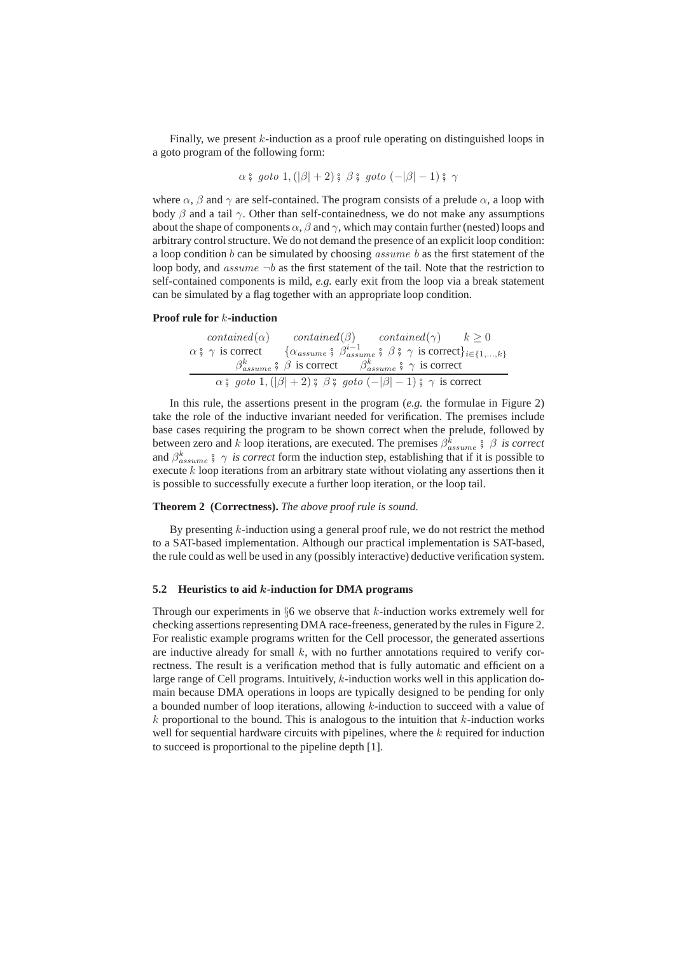Finally, we present k-induction as a proof rule operating on distinguished loops in a goto program of the following form:

$$
\alpha
$$
 § *goto* 1, ( $|\beta| + 2$ ) §  $\beta$  § *goto* ( $-|\beta| - 1$ ) §  $\gamma$ 

where  $\alpha$ ,  $\beta$  and  $\gamma$  are self-contained. The program consists of a prelude  $\alpha$ , a loop with body  $\beta$  and a tail  $\gamma$ . Other than self-containedness, we do not make any assumptions about the shape of components  $\alpha$ ,  $\beta$  and  $\gamma$ , which may contain further (nested) loops and arbitrary control structure. We do not demand the presence of an explicit loop condition: a loop condition  $b$  can be simulated by choosing *assume*  $b$  as the first statement of the loop body, and *assume*  $\neg b$  as the first statement of the tail. Note that the restriction to self-contained components is mild, *e.g.* early exit from the loop via a break statement can be simulated by a flag together with an appropriate loop condition.

# **Proof rule for** k**-induction**

$$
\text{contained}(\alpha) \qquad \text{contained}(\beta) \qquad \text{contained}(\gamma) \qquad k \ge 0
$$
\n
$$
\alpha \text{ } \gamma \text{ is correct} \qquad \{ \alpha_{assume} \text{ } \text{ } \beta \text{ } \beta_{assume} \text{ } \text{ } \beta \text{ } \beta \text{ } \gamma \text{ is correct} \} _{i \in \{1, \dots, k\}}
$$
\n
$$
\text{ } \alpha \text{ } \beta \text{ } \text{ assume} \text{ } \beta \text{ } \beta \text{ is correct} \qquad \beta_{assume} \text{ } \beta \text{ } \gamma \text{ is correct}
$$
\n
$$
\alpha \text{ } \beta \text{ } \text{goto } 1, (|\beta|+2) \text{ } \beta \text{ } \beta \text{ } \text{goto } (-|\beta|-1) \text{ } \gamma \text{ is correct}
$$

In this rule, the assertions present in the program (*e.g.* the formulae in Figure 2) take the role of the inductive invariant needed for verification. The premises include base cases requiring the program to be shown correct when the prelude, followed by between zero and k loop iterations, are executed. The premises  $\beta_{assume}^k$ ,  $\beta$  *is correct* and  $\beta_{assume}^k$ ,  $\gamma$  *is correct* form the induction step, establishing that if it is possible to execute k loop iterations from an arbitrary state without violating any assertions then it is possible to successfully execute a further loop iteration, or the loop tail.

#### **Theorem 2 (Correctness).** *The above proof rule is sound.*

By presenting  $k$ -induction using a general proof rule, we do not restrict the method to a SAT-based implementation. Although our practical implementation is SAT-based, the rule could as well be used in any (possibly interactive) deductive verification system.

#### **5.2 Heuristics to aid** k**-induction for DMA programs**

Through our experiments in  $\S6$  we observe that k-induction works extremely well for checking assertions representing DMA race-freeness, generated by the rules in Figure 2. For realistic example programs written for the Cell processor, the generated assertions are inductive already for small  $k$ , with no further annotations required to verify correctness. The result is a verification method that is fully automatic and efficient on a large range of Cell programs. Intuitively,  $k$ -induction works well in this application domain because DMA operations in loops are typically designed to be pending for only a bounded number of loop iterations, allowing  $k$ -induction to succeed with a value of  $k$  proportional to the bound. This is analogous to the intuition that  $k$ -induction works well for sequential hardware circuits with pipelines, where the k required for induction to succeed is proportional to the pipeline depth [1].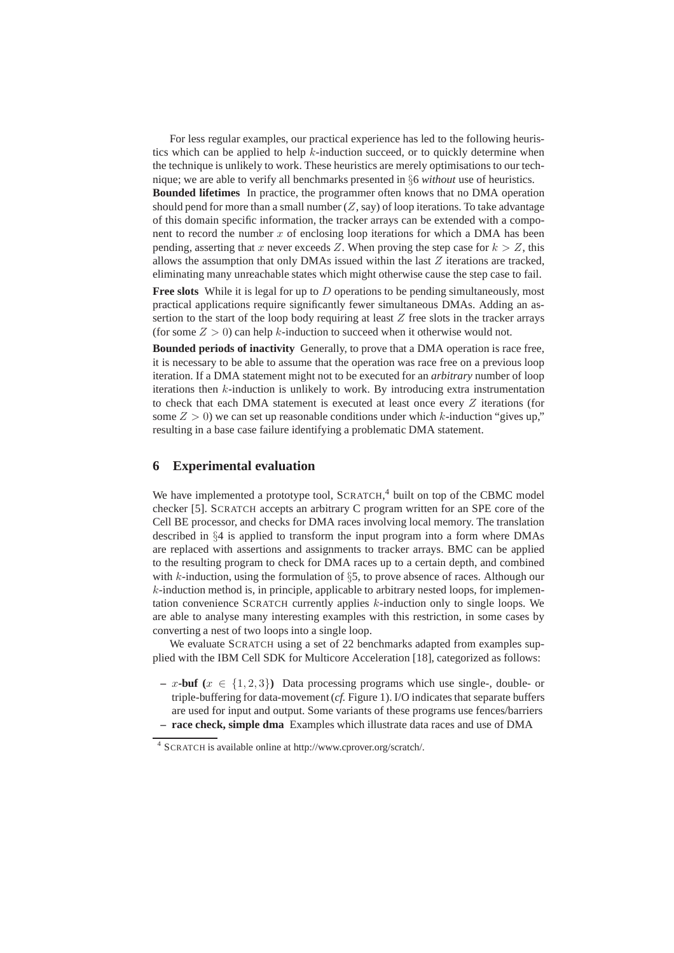For less regular examples, our practical experience has led to the following heuristics which can be applied to help  $k$ -induction succeed, or to quickly determine when the technique is unlikely to work. These heuristics are merely optimisations to our technique; we are able to verify all benchmarks presented in §6 *without* use of heuristics.

**Bounded lifetimes** In practice, the programmer often knows that no DMA operation should pend for more than a small number  $(Z, say)$  of loop iterations. To take advantage of this domain specific information, the tracker arrays can be extended with a component to record the number  $x$  of enclosing loop iterations for which a DMA has been pending, asserting that x never exceeds Z. When proving the step case for  $k > Z$ , this allows the assumption that only DMAs issued within the last  $Z$  iterations are tracked, eliminating many unreachable states which might otherwise cause the step case to fail.

Free slots While it is legal for up to D operations to be pending simultaneously, most practical applications require significantly fewer simultaneous DMAs. Adding an assertion to the start of the loop body requiring at least  $Z$  free slots in the tracker arrays (for some  $Z > 0$ ) can help k-induction to succeed when it otherwise would not.

**Bounded periods of inactivity** Generally, to prove that a DMA operation is race free, it is necessary to be able to assume that the operation was race free on a previous loop iteration. If a DMA statement might not to be executed for an *arbitrary* number of loop iterations then  $k$ -induction is unlikely to work. By introducing extra instrumentation to check that each DMA statement is executed at least once every  $Z$  iterations (for some  $Z > 0$ ) we can set up reasonable conditions under which k-induction "gives up," resulting in a base case failure identifying a problematic DMA statement.

# **6 Experimental evaluation**

We have implemented a prototype tool, SCRATCH,<sup>4</sup> built on top of the CBMC model checker [5]. SCRATCH accepts an arbitrary C program written for an SPE core of the Cell BE processor, and checks for DMA races involving local memory. The translation described in §4 is applied to transform the input program into a form where DMAs are replaced with assertions and assignments to tracker arrays. BMC can be applied to the resulting program to check for DMA races up to a certain depth, and combined with k-induction, using the formulation of  $\S5$ , to prove absence of races. Although our  $k$ -induction method is, in principle, applicable to arbitrary nested loops, for implementation convenience SCRATCH currently applies  $k$ -induction only to single loops. We are able to analyse many interesting examples with this restriction, in some cases by converting a nest of two loops into a single loop.

We evaluate SCRATCH using a set of 22 benchmarks adapted from examples supplied with the IBM Cell SDK for Multicore Acceleration [18], categorized as follows:

**–** x**-buf (**x ∈ {1, 2, 3}**)** Data processing programs which use single-, double- or triple-buffering for data-movement (*cf.* Figure 1). I/O indicates that separate buffers are used for input and output. Some variants of these programs use fences/barriers **– race check, simple dma** Examples which illustrate data races and use of DMA

<sup>4</sup> SCRATCH is available online at http://www.cprover.org/scratch/.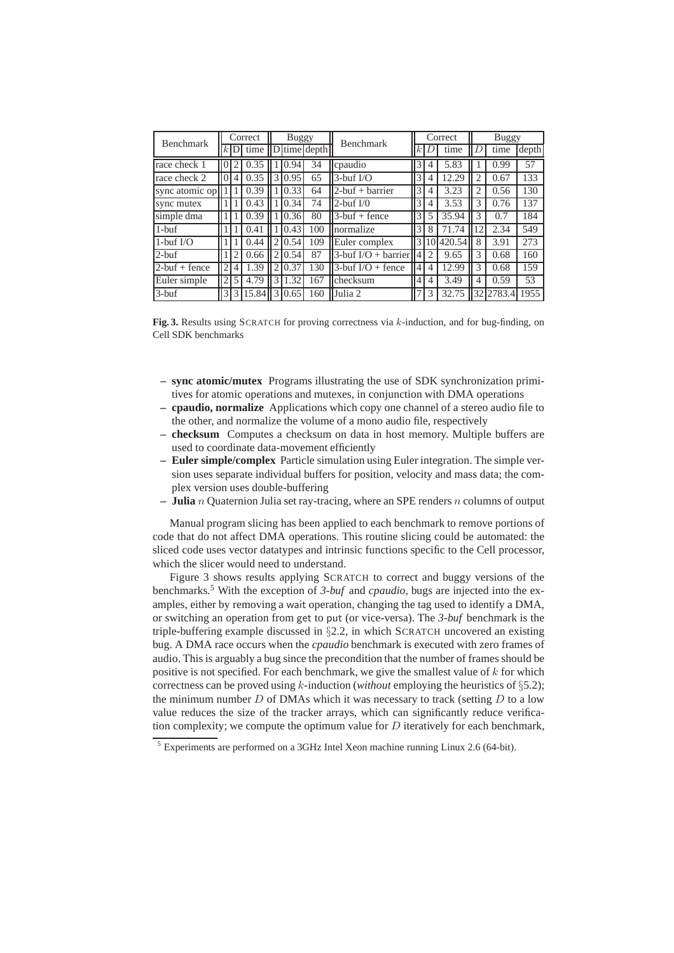| <b>Benchmark</b> |               | Correct       |       | <b>Buggy</b>                                                                                                                                                    |      |          |                            |      | Correct |        |                | Buggy  |      |  |
|------------------|---------------|---------------|-------|-----------------------------------------------------------------------------------------------------------------------------------------------------------------|------|----------|----------------------------|------|---------|--------|----------------|--------|------|--|
|                  |               | $k\mathbf{D}$ | time  | <b>Benchmark</b><br>$\overline{D}$ time depth                                                                                                                   |      | $\kappa$ |                            | time | D       | time   | depth          |        |      |  |
| race check 1     |               |               | 0.35  |                                                                                                                                                                 | 0.94 | 34       | cpaudio                    | 13   | 4       | 5.83   |                | 0.99   | 57   |  |
| race check 2     | 10            | 4             | 0.35  | 3                                                                                                                                                               | 0.95 | 65       | $3$ -buf I/O               | 3    | 4       | 12.29  | $\overline{2}$ | 0.67   | 133  |  |
| sync atomic op   |               |               | 0.39  |                                                                                                                                                                 | 0.33 | 64       | $2$ -buf + barrier         | 13   | 4       | 3.23   | 2              | 0.56   | 130  |  |
| sync mutex       |               |               | 0.43  |                                                                                                                                                                 | 0.34 | 74       | $2$ -buf $I/0$             | 3    | 4       | 3.53   | 3              | 0.76   | 137  |  |
| simple dma       |               |               | 0.39  |                                                                                                                                                                 | 0.36 | 80       | $3$ -buf + fence           | 3    | 5       | 35.94  | 3              | 0.7    | 184  |  |
| $1$ -buf         |               |               | 0.41  |                                                                                                                                                                 | 0.43 | 100      | normalize                  | 3    | 8       | 71.74  | 12             | 2.34   | 549  |  |
| 1-buf $I/O$      |               |               | 0.44  | 2                                                                                                                                                               | 0.54 | 109      | Euler complex              | 13   | 10      | 420.54 | 8              | 3.91   | 273  |  |
| $2$ -buf         |               |               | 0.66  | 2                                                                                                                                                               | 0.54 | 87       | 3-buf $I/O + barrier    4$ |      | 2       | 9.65   | 3              | 0.68   | 160  |  |
| $2$ -buf + fence | $\mathcal{D}$ | 4             | 1.39  | $\mathcal{D}_{\mathcal{A}}^{\mathcal{A}}(\mathcal{A})=\mathcal{D}_{\mathcal{A}}^{\mathcal{A}}(\mathcal{A})\mathcal{D}_{\mathcal{A}}^{\mathcal{A}}(\mathcal{A})$ | 0.37 | 130      | $3$ -buf I/O + fence       | 4    | 4       | 12.99  | 3              | 0.68   | 159  |  |
| Euler simple     | ∍             | 5             | 4.79  | 3                                                                                                                                                               | .32  | 167      | checksum                   | 4    | 4       | 3.49   | 4              | 0.59   | 53   |  |
| $3$ -buf         | 3             | 3             | 15.84 | 131                                                                                                                                                             | 0.65 | 160      | <b>Julia</b> 2             |      | 3       | 32.75  | 32             | 2783.4 | 1955 |  |

**Fig. 3.** Results using SCRATCH for proving correctness via k-induction, and for bug-finding, on Cell SDK benchmarks

- **sync atomic/mutex** Programs illustrating the use of SDK synchronization primitives for atomic operations and mutexes, in conjunction with DMA operations
- **cpaudio, normalize** Applications which copy one channel of a stereo audio file to the other, and normalize the volume of a mono audio file, respectively
- **checksum** Computes a checksum on data in host memory. Multiple buffers are used to coordinate data-movement efficiently
- **Euler simple/complex** Particle simulation using Euler integration. The simple version uses separate individual buffers for position, velocity and mass data; the complex version uses double-buffering
- **Julia** n Quaternion Julia set ray-tracing, where an SPE renders n columns of output

Manual program slicing has been applied to each benchmark to remove portions of code that do not affect DMA operations. This routine slicing could be automated: the sliced code uses vector datatypes and intrinsic functions specific to the Cell processor, which the slicer would need to understand.

Figure 3 shows results applying SCRATCH to correct and buggy versions of the benchmarks.<sup>5</sup> With the exception of *3-buf* and *cpaudio*, bugs are injected into the examples, either by removing a wait operation, changing the tag used to identify a DMA, or switching an operation from get to put (or vice-versa). The *3-buf* benchmark is the triple-buffering example discussed in  $\S 2.2$ , in which SCRATCH uncovered an existing bug. A DMA race occurs when the *cpaudio* benchmark is executed with zero frames of audio. This is arguably a bug since the precondition that the number of frames should be positive is not specified. For each benchmark, we give the smallest value of  $k$  for which correctness can be proved using k-induction (*without* employing the heuristics of §5.2); the minimum number  $D$  of DMAs which it was necessary to track (setting  $D$  to a low value reduces the size of the tracker arrays, which can significantly reduce verification complexity; we compute the optimum value for  $D$  iteratively for each benchmark,

<sup>5</sup> Experiments are performed on a 3GHz Intel Xeon machine running Linux 2.6 (64-bit).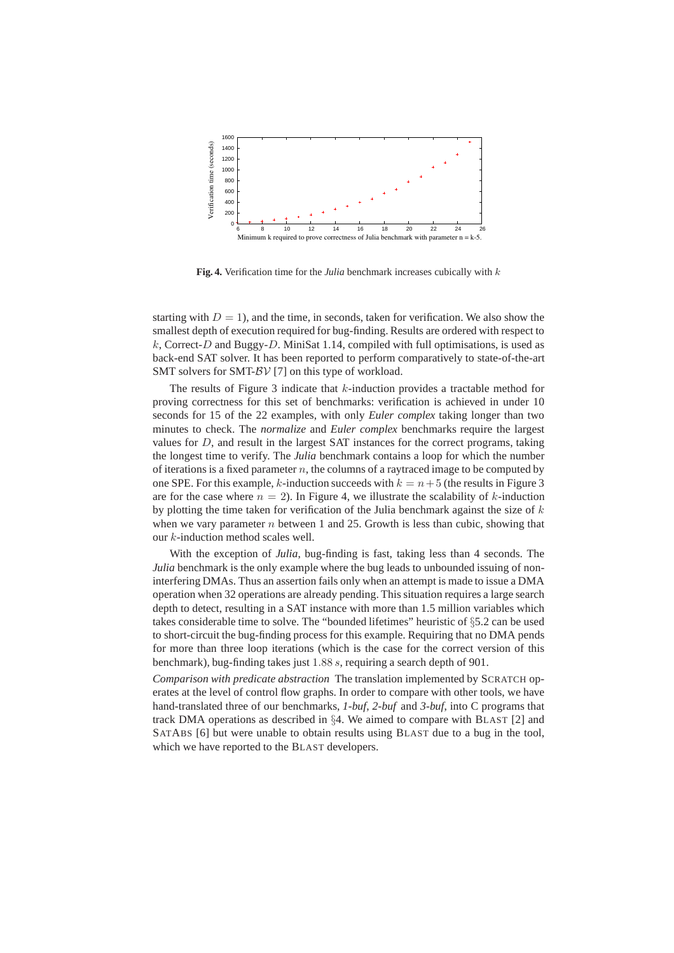

**Fig. 4.** Verification time for the *Julia* benchmark increases cubically with k

starting with  $D = 1$ ), and the time, in seconds, taken for verification. We also show the smallest depth of execution required for bug-finding. Results are ordered with respect to  $k$ , Correct-D and Buggy-D. MiniSat 1.14, compiled with full optimisations, is used as back-end SAT solver. It has been reported to perform comparatively to state-of-the-art SMT solvers for SMT- $BV$  [7] on this type of workload.

The results of Figure 3 indicate that k-induction provides a tractable method for proving correctness for this set of benchmarks: verification is achieved in under 10 seconds for 15 of the 22 examples, with only *Euler complex* taking longer than two minutes to check. The *normalize* and *Euler complex* benchmarks require the largest values for  $D$ , and result in the largest SAT instances for the correct programs, taking the longest time to verify. The *Julia* benchmark contains a loop for which the number of iterations is a fixed parameter  $n$ , the columns of a raytraced image to be computed by one SPE. For this example, k-induction succeeds with  $k = n+5$  (the results in Figure 3) are for the case where  $n = 2$ ). In Figure 4, we illustrate the scalability of k-induction by plotting the time taken for verification of the Julia benchmark against the size of  $k$ when we vary parameter  $n$  between 1 and 25. Growth is less than cubic, showing that our k-induction method scales well.

With the exception of *Julia*, bug-finding is fast, taking less than 4 seconds. The *Julia* benchmark is the only example where the bug leads to unbounded issuing of noninterfering DMAs. Thus an assertion fails only when an attempt is made to issue a DMA operation when 32 operations are already pending. This situation requires a large search depth to detect, resulting in a SAT instance with more than 1.5 million variables which takes considerable time to solve. The "bounded lifetimes" heuristic of §5.2 can be used to short-circuit the bug-finding process for this example. Requiring that no DMA pends for more than three loop iterations (which is the case for the correct version of this benchmark), bug-finding takes just 1.88 s, requiring a search depth of 901.

*Comparison with predicate abstraction* The translation implemented by SCRATCH operates at the level of control flow graphs. In order to compare with other tools, we have hand-translated three of our benchmarks, *1-buf*, *2-buf* and *3-buf*, into C programs that track DMA operations as described in §4. We aimed to compare with BLAST [2] and SATABS [6] but were unable to obtain results using BLAST due to a bug in the tool, which we have reported to the BLAST developers.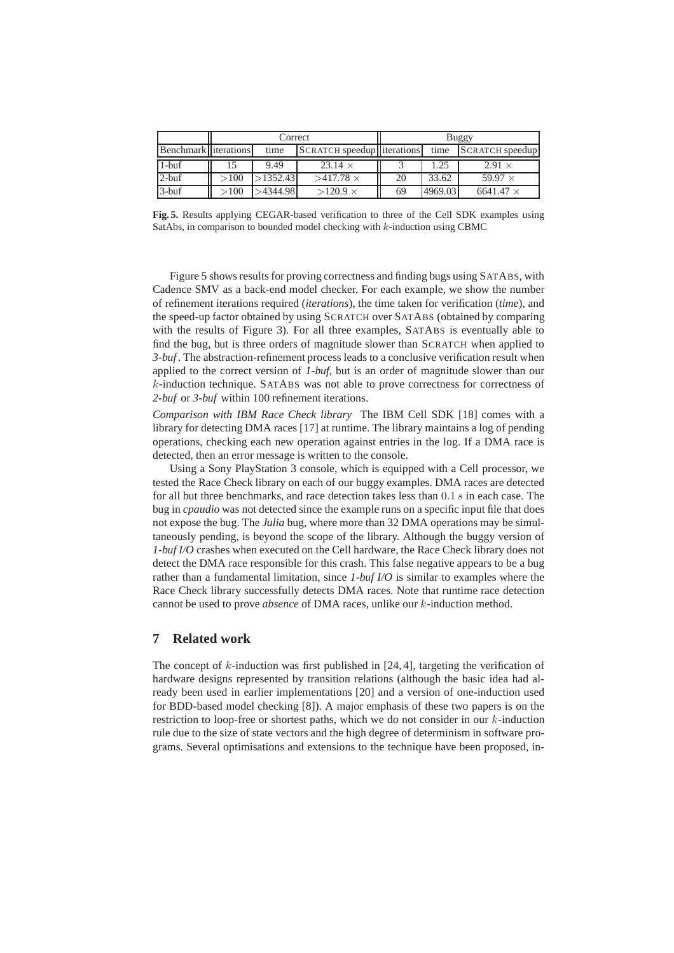|                      |      | Correct  |                            | Buggy |         |                      |  |  |
|----------------------|------|----------|----------------------------|-------|---------|----------------------|--|--|
| Benchmark iterations |      | time     | SCRATCH speedup iterations |       |         | time SCRATCH speedup |  |  |
| $1$ -buf             |      | 9.49     | $23.14 \times$             |       | 1.25    | $2.91 \times$        |  |  |
| $2$ -buf             | >100 | >1352.43 | $>417.78$ $\times$         | 20    | 33.62   | 59.97 $\times$       |  |  |
| $3$ -buf             | >100 | >4344.98 | $>120.9 \times$            | 69    | 4969.03 | $6641.47 \times$     |  |  |

**Fig. 5.** Results applying CEGAR-based verification to three of the Cell SDK examples using SatAbs, in comparison to bounded model checking with k-induction using CBMC

Figure 5 shows results for proving correctness and finding bugs using SATABS, with Cadence SMV as a back-end model checker. For each example, we show the number of refinement iterations required (*iterations*), the time taken for verification (*time*), and the speed-up factor obtained by using SCRATCH over SATABS (obtained by comparing with the results of Figure 3). For all three examples, SATABS is eventually able to find the bug, but is three orders of magnitude slower than SCRATCH when applied to *3-buf*. The abstraction-refinement process leads to a conclusive verification result when applied to the correct version of *1-buf*, but is an order of magnitude slower than our  $k$ -induction technique. SATABS was not able to prove correctness for correctness of *2-buf* or *3-buf* within 100 refinement iterations.

*Comparison with IBM Race Check library* The IBM Cell SDK [18] comes with a library for detecting DMA races [17] at runtime. The library maintains a log of pending operations, checking each new operation against entries in the log. If a DMA race is detected, then an error message is written to the console.

Using a Sony PlayStation 3 console, which is equipped with a Cell processor, we tested the Race Check library on each of our buggy examples. DMA races are detected for all but three benchmarks, and race detection takes less than 0.1 s in each case. The bug in *cpaudio* was not detected since the example runs on a specific input file that does not expose the bug. The *Julia* bug, where more than 32 DMA operations may be simultaneously pending, is beyond the scope of the library. Although the buggy version of *1-buf I/O* crashes when executed on the Cell hardware, the Race Check library does not detect the DMA race responsible for this crash. This false negative appears to be a bug rather than a fundamental limitation, since *1-buf I/O* is similar to examples where the Race Check library successfully detects DMA races. Note that runtime race detection cannot be used to prove *absence* of DMA races, unlike our k-induction method.

# **7 Related work**

The concept of  $k$ -induction was first published in [24, 4], targeting the verification of hardware designs represented by transition relations (although the basic idea had already been used in earlier implementations [20] and a version of one-induction used for BDD-based model checking [8]). A major emphasis of these two papers is on the restriction to loop-free or shortest paths, which we do not consider in our k-induction rule due to the size of state vectors and the high degree of determinism in software programs. Several optimisations and extensions to the technique have been proposed, in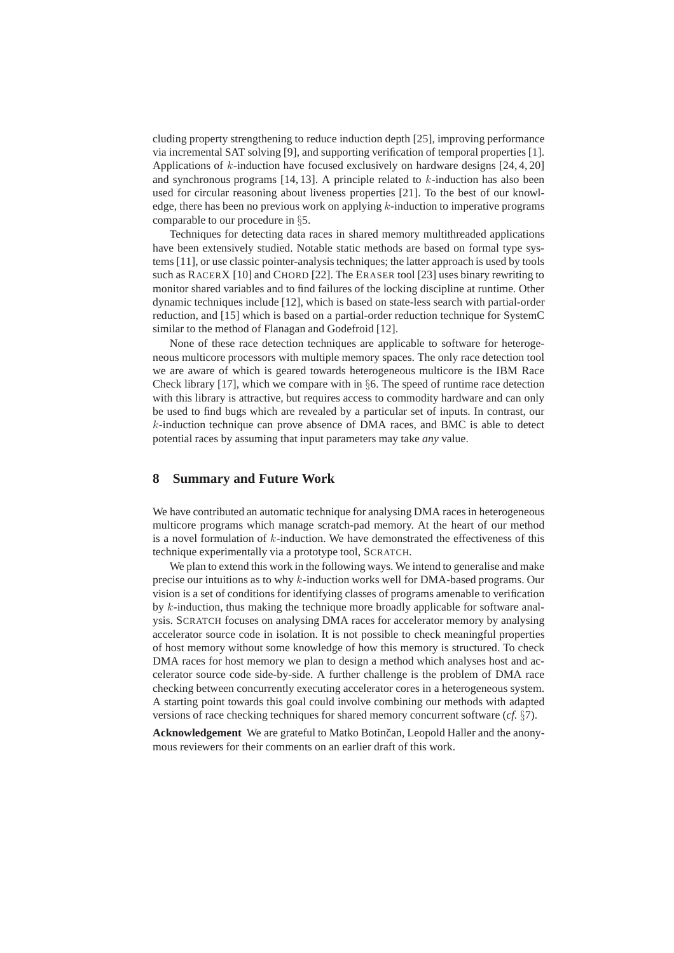cluding property strengthening to reduce induction depth [25], improving performance via incremental SAT solving [9], and supporting verification of temporal properties [1]. Applications of  $k$ -induction have focused exclusively on hardware designs  $[24, 4, 20]$ and synchronous programs  $[14, 13]$ . A principle related to  $k$ -induction has also been used for circular reasoning about liveness properties [21]. To the best of our knowledge, there has been no previous work on applying  $k$ -induction to imperative programs comparable to our procedure in §5.

Techniques for detecting data races in shared memory multithreaded applications have been extensively studied. Notable static methods are based on formal type systems [11], or use classic pointer-analysis techniques; the latter approach is used by tools such as RACERX [10] and CHORD [22]. The ERASER tool [23] uses binary rewriting to monitor shared variables and to find failures of the locking discipline at runtime. Other dynamic techniques include [12], which is based on state-less search with partial-order reduction, and [15] which is based on a partial-order reduction technique for SystemC similar to the method of Flanagan and Godefroid [12].

None of these race detection techniques are applicable to software for heterogeneous multicore processors with multiple memory spaces. The only race detection tool we are aware of which is geared towards heterogeneous multicore is the IBM Race Check library [17], which we compare with in  $\S6$ . The speed of runtime race detection with this library is attractive, but requires access to commodity hardware and can only be used to find bugs which are revealed by a particular set of inputs. In contrast, our k-induction technique can prove absence of DMA races, and BMC is able to detect potential races by assuming that input parameters may take *any* value.

# **8 Summary and Future Work**

We have contributed an automatic technique for analysing DMA races in heterogeneous multicore programs which manage scratch-pad memory. At the heart of our method is a novel formulation of  $k$ -induction. We have demonstrated the effectiveness of this technique experimentally via a prototype tool, SCRATCH.

We plan to extend this work in the following ways. We intend to generalise and make precise our intuitions as to why k-induction works well for DMA-based programs. Our vision is a set of conditions for identifying classes of programs amenable to verification by k-induction, thus making the technique more broadly applicable for software analysis. SCRATCH focuses on analysing DMA races for accelerator memory by analysing accelerator source code in isolation. It is not possible to check meaningful properties of host memory without some knowledge of how this memory is structured. To check DMA races for host memory we plan to design a method which analyses host and accelerator source code side-by-side. A further challenge is the problem of DMA race checking between concurrently executing accelerator cores in a heterogeneous system. A starting point towards this goal could involve combining our methods with adapted versions of race checking techniques for shared memory concurrent software (*cf.* §7).

**Acknowledgement** We are grateful to Matko Botinčan, Leopold Haller and the anonymous reviewers for their comments on an earlier draft of this work.